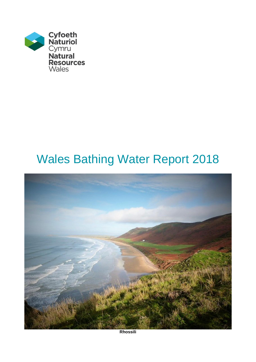

# Wales Bathing Water Report 2018



**Rhossili**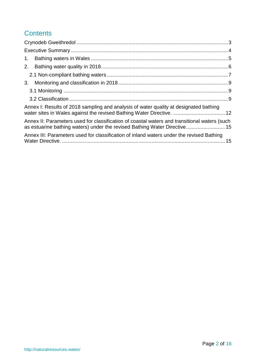# **Contents**

| 1.                                                                                                                                                                        |  |
|---------------------------------------------------------------------------------------------------------------------------------------------------------------------------|--|
| 2.                                                                                                                                                                        |  |
|                                                                                                                                                                           |  |
| 3.                                                                                                                                                                        |  |
|                                                                                                                                                                           |  |
|                                                                                                                                                                           |  |
| Annex I: Results of 2018 sampling and analysis of water quality at designated bathing<br>water sites in Wales against the revised Bathing Water Directive.  12            |  |
| Annex II: Parameters used for classification of coastal waters and transitional waters (such<br>as estuarine bathing waters) under the revised Bathing Water Directive 15 |  |
| Annex III: Parameters used for classification of inland waters under the revised Bathing                                                                                  |  |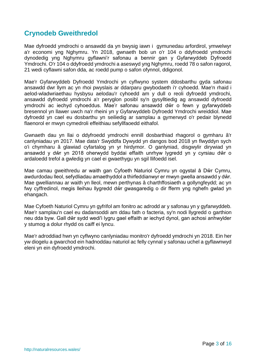## <span id="page-2-0"></span>**Crynodeb Gweithredol**

Mae dyfroedd ymdrochi o ansawdd da yn bwysig iawn i gymunedau arfordirol, ymwelwyr a'r economi yng Nghymru. Yn 2018, gwnaeth bob un o'r 104 o ddyfroedd ymdrochi dynodedig yng Nghymru gyflawni'r safonau a bennir gan y Gyfarwyddeb Dyfroedd Ymdrochi. O'r 104 o ddyfroedd ymdrochi a aseswyd yng Nghymru, roedd 78 o safon ragorol, 21 wedi cyflawni safon dda, ac roedd pump o safon ofynnol, ddigonol.

Mae'r Gyfarwyddeb Dyfroedd Ymdrochi yn cyflwyno system ddosbarthu gyda safonau ansawdd dwr llym ac yn rhoi pwyslais ar ddarparu gwybodaeth i'r cyhoedd. Mae'n rhaid i aelod-wladwriaethau hysbysu aelodau'r cyhoedd am y dull o reoli dyfroedd ymdrochi, ansawdd dyfroedd ymdrochi a'r peryglon posibl sy'n gysylltiedig ag ansawdd dyfroedd ymdrochi ac iechyd cyhoeddus. Mae'r safonau ansawdd dŵr o fewn y gyfarwyddeb bresennol yn llawer uwch na'r rheini yn y Gyfarwyddeb Dyfroedd Ymdrochi wreiddiol. Mae dyfroedd yn cael eu dosbarthu yn seiliedig ar samplau a gymerwyd o'r pedair blynedd flaenorol er mwyn cymedroli effeithiau sefyllfaoedd eithafol.

Gwnaeth dau yn llai o ddyfroedd ymdrochi ennill dosbarthiad rhagorol o gymharu â'r canlyniadau yn 2017. Mae data'r Swyddfa Dywydd yn dangos bod 2018 yn flwyddyn sych o'i chymharu â glawiad cyfartalog yn yr hirdymor. O ganlyniad, disgwylir dirywiad yn ansawdd y dŵr yn 2018 oherwydd byddai effaith unrhyw lygredd yn y cyrsiau dŵr o ardaloedd trefol a gwledig yn cael ei gwaethygu yn sgil llifoedd isel.

Mae camau gweithredu ar waith gan Cyfoeth Naturiol Cymru yn ogystal â Dŵr Cymru, awdurdodau lleol, sefydliadau amaethyddol a thirfeddianwyr er mwyn gwella ansawdd y dŵr. Mae gwelliannau ar waith yn lleol, mewn perthynas â charthffosiaeth a gollyngfeydd; ac yn fwy cyffredinol, megis lleihau llygredd dŵr gwasgaredig o dir fferm yng nghefn gwlad yn ehangach.

Mae Cyfoeth Naturiol Cymru yn gyfrifol am fonitro ac adrodd ar y safonau yn y gyfarwyddeb. Mae'r samplau'n cael eu dadansoddi am ddau fath o facteria, sy'n nodi llygredd o garthion neu dda byw. Gall dŵr sydd wedi'i lygru gael effaith ar iechyd dynol, gan achosi anhwylder y stumog a dolur rhydd os caiff ei lyncu.

Mae'r adroddiad hwn yn cyflwyno canlyniadau monitro'r dyfroedd ymdrochi yn 2018. Ein her yw diogelu a gwarchod ein hadnoddau naturiol ac felly cynnal y safonau uchel a gyflawnwyd eleni yn ein dyfroedd ymdrochi.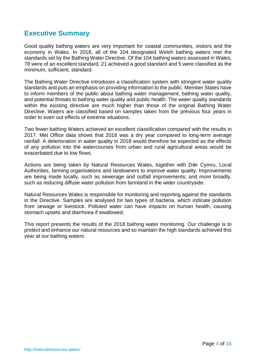## <span id="page-3-0"></span>**Executive Summary**

Good quality bathing waters are very important for coastal communities, visitors and the economy in Wales. In 2018, all of the 104 designated Welsh bathing waters met the standards set by the Bathing Water Directive. Of the 104 bathing waters assessed in Wales, 78 were of an excellent standard, 21 achieved a good standard and 5 were classified as the minimum, sufficient, standard.

The Bathing Water Directive introduces a classification system with stringent water quality standards and puts an emphasis on providing information to the public. Member States have to inform members of the public about bathing water management, bathing water quality, and potential threats to bathing water quality and public health. The water quality standards within the existing directive are much higher than those of the original Bathing Water Directive. Waters are classified based on samples taken from the previous four years in order to even out effects of extreme situations.

Two fewer bathing Waters achieved an excellent classification compared with the results in 2017. Met Office data shows that 2018 was a dry year compared to long-term average rainfall. A deterioration in water quality in 2018 would therefore be expected as the effects of any pollution into the watercourses from urban and rural agricultural areas would be exacerbated due to low flows.

Actions are being taken by Natural Resources Wales, together with Dŵr Cymru, Local Authorities, farming organisations and landowners to improve water quality. Improvements are being made locally, such as sewerage and outfall improvements; and more broadly, such as reducing diffuse water pollution from farmland in the wider countryside.

Natural Resources Wales is responsible for monitoring and reporting against the standards in the Directive. Samples are analysed for two types of bacteria, which indicate pollution from sewage or livestock. Polluted water can have impacts on human health, causing stomach upsets and diarrhoea if swallowed.

This report presents the results of the 2018 bathing water monitoring. Our challenge is to protect and enhance our natural resources and so maintain the high standards achieved this year at our bathing waters.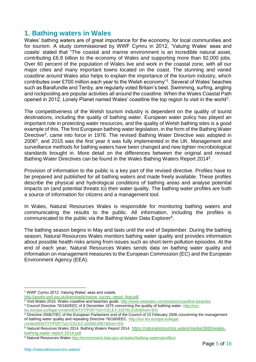## <span id="page-4-0"></span>**1. Bathing waters in Wales**

Wales' bathing waters are of great importance for the economy, for local communities and for tourism. A study commissioned by WWF Cymru in 2012, 'Valuing Wales' seas and coasts' stated that "The coastal and marine environment is an incredible natural asset, contributing £6.8 billion to the economy of Wales and supporting more than 92,000 jobs. Over 60 percent of the population of Wales live and work in the coastal zone, with all our major cities and many important towns located on the coast. The stunning and varied coastline around Wales also helps to explain the importance of the tourism industry, which contributes over £700 million each year to the Welsh economy"<sup>1</sup> . Several of Wales' beaches such as Barafundle and Tenby, are regularly voted Britain's best. Swimming, surfing, angling and rockpooling are popular activities all around the coastline. When the Wales Coastal Path opened in 2012, Lonely Planet named Wales' coastline the top region to visit in the world<sup>2</sup>.

The competitiveness of the Welsh tourism industry is dependent on the quality of tourist destinations, including the quality of bathing water. European water policy has played an important role in protecting water resources, and the quality of Welsh bathing sites is a good example of this. The first European bathing water legislation, in the form of the Bathing Water Directive<sup>3</sup>, came into force in 1976. The revised Bathing Water Directive was adopted in 2006<sup>4</sup> , and 2015 was the first year it was fully implemented in the UK. Management and surveillance methods for bathing waters have been changed and new tighter microbiological standards brought in. More detail on the differences between the original and revised Bathing Water Directives can be found in the Wales Bathing Waters Report 2014<sup>5</sup>.

Provision of information to the public is a key part of the revised directive. Profiles have to be prepared and published for all bathing waters and made freely available. These profiles describe the physical and hydrological conditions of bathing areas and analyse potential impacts on (and potential threats to) their water quality. The bathing water profiles are both a source of information for citizens and a management tool.

In Wales, Natural Resources Wales is responsible for monitoring bathing waters and communicating the results to the public. All information, including the profiles is communicated to the public via the Bathing Water Data Explorer<sup>6</sup>.

The bathing season begins in May and lasts until the end of September. During the bathing season, Natural Resources Wales monitors bathing water quality and provides information about possible health risks arising from issues such as short-term pollution episodes. At the end of each year, Natural Resources Wales sends data on bathing water quality and information on management measures to the European Commission (EC) and the European Environment Agency (EEA).

<sup>1</sup> <sup>1</sup> WWF Cymru 2012. Valuing Wales' seas and coasts.

[http://assets.wwf.org.uk/downloads/marine\\_survey\\_report\\_final.pdf.](http://assets.wwf.org.uk/downloads/marine_survey_report_final.pdf)

<sup>&</sup>lt;sup>2</sup> Visit Wales 2015. Wales coastline and beaches guide.<http://www.visitwales.com/explore/coastline-beaches>

<sup>&</sup>lt;sup>3</sup> Council Directive 76/160/EEC of 8 December 1975 concerning the quality of bathing water. [http://eur-](http://eur-lex.europa.eu/legal-content/EN/TXT/PDF/?uri=CELEX:31976L0160&from=EN)

[lex.europa.eu/legal-content/EN/TXT/PDF/?uri=CELEX:31976L0160&from=EN](http://eur-lex.europa.eu/legal-content/EN/TXT/PDF/?uri=CELEX:31976L0160&from=EN)

<sup>&</sup>lt;sup>4</sup> Directive 2006/7/EC of the European Parliament and of the Council of 15 February 2006 concerning the management of bathing water quality and repealing Directive 76/160/EEC. [http://eur-lex.europa.eu/legal](http://eur-lex.europa.eu/legal-content/EN/TXT/PDF/?uri=CELEX:32006L0007&from=EN)[content/EN/TXT/PDF/?uri=CELEX:32006L0007&from=EN](http://eur-lex.europa.eu/legal-content/EN/TXT/PDF/?uri=CELEX:32006L0007&from=EN)

<sup>5</sup> Natural Resurces Wales 2014. Bathing Waters Report 2014. [https://naturalresources.wales/media/3880/wales](https://naturalresources.wales/media/3880/wales-bathing-water-report-2014.pdf)[bathing-water-report-2014.pdf](https://naturalresources.wales/media/3880/wales-bathing-water-report-2014.pdf)

<sup>6</sup> Natural Resources Wales<http://environment.data.gov.uk/wales/bathing-waters/profiles/>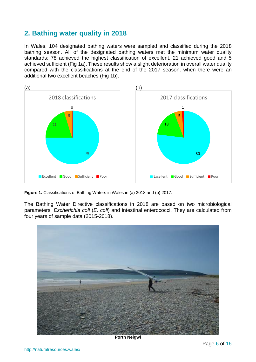# <span id="page-5-0"></span>**2. Bathing water quality in 2018**

In Wales, 104 designated bathing waters were sampled and classified during the 2018 bathing season. All of the designated bathing waters met the minimum water quality standards: 78 achieved the highest classification of excellent, 21 achieved good and 5 achieved sufficient (Fig 1a). These results show a slight deterioration in overall water quality compared with the classifications at the end of the 2017 season, when there were an additional two excellent beaches (Fig 1b).



**Figure 1.** Classifications of Bathing Waters in Wales in (a) 2018 and (b) 2017.

The Bathing Water Directive classifications in 2018 are based on two microbiological parameters: *Escherichia coli* (*E. coli*) and intestinal enterococci. They are calculated from four years of sample data (2015-2018).



**Porth Neigwl**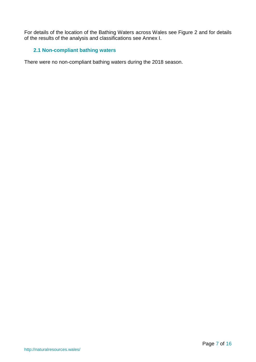For details of the location of the Bathing Waters across Wales see Figure 2 and for details of the results of the analysis and classifications see Annex I.

## <span id="page-6-0"></span>**2.1 Non-compliant bathing waters**

There were no non-compliant bathing waters during the 2018 season.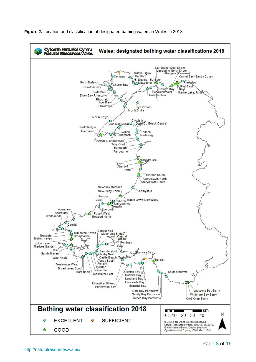

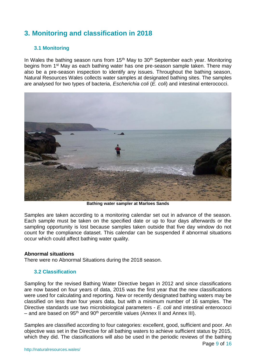# <span id="page-8-0"></span>**3. Monitoring and classification in 2018**

## <span id="page-8-1"></span>**3.1 Monitoring**

In Wales the bathing season runs from  $15<sup>th</sup>$  May to  $30<sup>th</sup>$  September each year. Monitoring begins from 1<sup>st</sup> May as each bathing water has one pre-season sample taken. There may also be a pre-season inspection to identify any issues. Throughout the bathing season, Natural Resources Wales collects water samples at designated bathing sites. The samples are analysed for two types of bacteria, *Escherichia coli* (*E. coli*) and intestinal enterococci.



**Bathing water sampler at Marloes Sands**

Samples are taken according to a monitoring calendar set out in advance of the season. Each sample must be taken on the specified date or up to four days afterwards or the sampling opportunity is lost because samples taken outside that five day window do not count for the compliance dataset. This calendar can be suspended if abnormal situations occur which could affect bathing water quality.

#### **Abnormal situations**

There were no Abnormal Situations during the 2018 season.

#### <span id="page-8-2"></span>**3.2 Classification**

Sampling for the revised Bathing Water Directive began in 2012 and since classifications are now based on four years of data, 2015 was the first year that the new classifications were used for calculating and reporting. New or recently designated bathing waters may be classified on less than four years data, but with a minimum number of 16 samples. The Directive standards use two microbiological parameters - *E. coli* and intestinal enterococci – and are based on  $95<sup>th</sup>$  and  $90<sup>th</sup>$  percentile values (Annex II and Annex III).

Samples are classified according to four categories: excellent, good, sufficient and poor. An objective was set in the Directive for all bathing waters to achieve sufficient status by 2015, which they did. The classifications will also be used in the periodic reviews of the bathing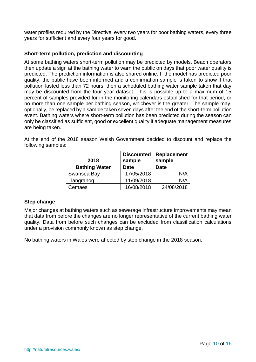water profiles required by the Directive: every two years for poor bathing waters, every three years for sufficient and every four years for good.

#### **Short-term pollution, prediction and discounting**

At some bathing waters short-term pollution may be predicted by models. Beach operators then update a sign at the bathing water to warn the public on days that poor water quality is predicted. The prediction information is also shared online. If the model has predicted poor quality, the public have been informed and a confirmation sample is taken to show if that pollution lasted less than 72 hours, then a scheduled bathing water sample taken that day may be discounted from the four year dataset. This is possible up to a maximum of 15 percent of samples provided for in the monitoring calendars established for that period, or no more than one sample per bathing season, whichever is the greater. The sample may, optionally, be replaced by a sample taken seven days after the end of the short-term pollution event. Bathing waters where short-term pollution has been predicted during the season can only be classified as sufficient, good or excellent quality if adequate management measures are being taken.

At the end of the 2018 season Welsh Government decided to discount and replace the following samples:

| 2018<br><b>Bathing Water</b> | <b>Discounted</b><br>sample<br><b>Date</b> | Replacement<br>sample<br><b>Date</b> |
|------------------------------|--------------------------------------------|--------------------------------------|
| Swansea Bay                  | 17/05/2018                                 | N/A                                  |
| Llangranog                   | 11/09/2018                                 | N/A                                  |
| Cemaes                       | 16/08/2018                                 | 24/08/2018                           |

#### **Step change**

Major changes at bathing waters such as sewerage infrastructure improvements may mean that data from before the changes are no longer representative of the current bathing water quality. Data from before such changes can be excluded from classification calculations under a provision commonly known as step change.

No bathing waters in Wales were affected by step change in the 2018 season.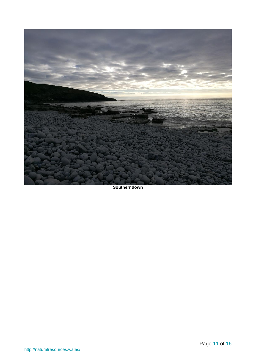

**Southerndown**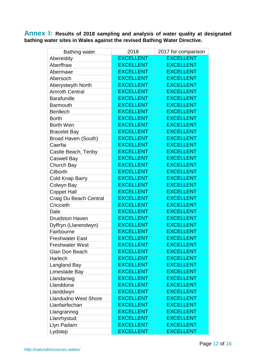<span id="page-11-0"></span>**Annex I: Results of 2018 sampling and analysis of water quality at designated bathing water sites in Wales against the revised Bathing Water Directive.**

| <b>Bathing water</b>        | 2018             | 2017 for comparison |
|-----------------------------|------------------|---------------------|
| Abereiddy                   | <b>EXCELLENT</b> | <b>EXCELLENT</b>    |
| Aberffraw                   | <b>EXCELLENT</b> | <b>EXCELLENT</b>    |
| Abermawr                    | <b>EXCELLENT</b> | <b>EXCELLENT</b>    |
| Abersoch                    | <b>EXCELLENT</b> | <b>EXCELLENT</b>    |
| Aberystwyth North           | <b>EXCELLENT</b> | <b>EXCELLENT</b>    |
| <b>Amroth Central</b>       | <b>EXCELLENT</b> | <b>EXCELLENT</b>    |
| <b>Barafundle</b>           | <b>EXCELLENT</b> | <b>EXCELLENT</b>    |
| <b>Barmouth</b>             | <b>EXCELLENT</b> | <b>EXCELLENT</b>    |
| <b>Benllech</b>             | <b>EXCELLENT</b> | <b>EXCELLENT</b>    |
| <b>Borth</b>                | <b>EXCELLENT</b> | <b>EXCELLENT</b>    |
| <b>Borth Wen</b>            | <b>EXCELLENT</b> | <b>EXCELLENT</b>    |
| <b>Bracelet Bay</b>         | <b>EXCELLENT</b> | <b>EXCELLENT</b>    |
| Broad Haven (South)         | <b>EXCELLENT</b> | <b>EXCELLENT</b>    |
| Caerfai                     | <b>EXCELLENT</b> | <b>EXCELLENT</b>    |
| Castle Beach, Tenby         | <b>EXCELLENT</b> | <b>EXCELLENT</b>    |
| <b>Caswell Bay</b>          | <b>EXCELLENT</b> | <b>EXCELLENT</b>    |
| Church Bay                  | <b>EXCELLENT</b> | <b>EXCELLENT</b>    |
| Cilborth                    | <b>EXCELLENT</b> | <b>EXCELLENT</b>    |
| <b>Cold Knap Barry</b>      | <b>EXCELLENT</b> | <b>EXCELLENT</b>    |
| Colwyn Bay                  | <b>EXCELLENT</b> | <b>EXCELLENT</b>    |
| <b>Coppet Hall</b>          | <b>EXCELLENT</b> | <b>EXCELLENT</b>    |
| Craig Du Beach Central      | <b>EXCELLENT</b> | <b>EXCELLENT</b>    |
| Criccieth                   | <b>EXCELLENT</b> | <b>EXCELLENT</b>    |
| Dale                        | <b>EXCELLENT</b> | <b>EXCELLENT</b>    |
| <b>Druidston Haven</b>      | <b>EXCELLENT</b> | <b>EXCELLENT</b>    |
| Dyffryn (Llanendwyn)        | <b>EXCELLENT</b> | <b>EXCELLENT</b>    |
| Fairbourne                  | <b>EXCELLENT</b> | <b>EXCELLENT</b>    |
| <b>Freshwater East</b>      | <b>EXCELLENT</b> | <b>EXCELLENT</b>    |
| <b>Freshwater West</b>      | <b>EXCELLENT</b> | <b>EXCELLENT</b>    |
| Glan Don Beach              | <b>EXCELLENT</b> | <b>EXCELLENT</b>    |
| Harlech                     | <b>EXCELLENT</b> | <b>EXCELLENT</b>    |
| <b>Langland Bay</b>         | <b>EXCELLENT</b> | <b>EXCELLENT</b>    |
| Limeslade Bay               | <b>EXCELLENT</b> | <b>EXCELLENT</b>    |
| Llandanwg                   | <b>EXCELLENT</b> | <b>EXCELLENT</b>    |
| Llanddona                   | <b>EXCELLENT</b> | <b>EXCELLENT</b>    |
| Llanddwyn                   | <b>EXCELLENT</b> | <b>EXCELLENT</b>    |
| <b>Llandudno West Shore</b> | <b>EXCELLENT</b> | <b>EXCELLENT</b>    |
| Llanfairfechan              | <b>EXCELLENT</b> | <b>EXCELLENT</b>    |
| Llangrannog                 | <b>EXCELLENT</b> | <b>EXCELLENT</b>    |
| Llanrhystud                 | <b>EXCELLENT</b> | <b>EXCELLENT</b>    |
| Llyn Padarn                 | <b>EXCELLENT</b> | <b>EXCELLENT</b>    |
| Lydstep                     | <b>EXCELLENT</b> | <b>EXCELLENT</b>    |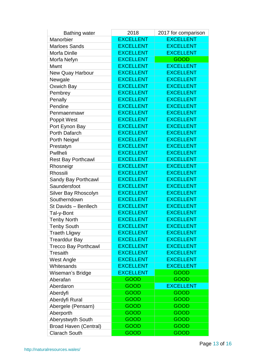| <b>Bathing water</b>         | 2018             | 2017 for comparison |  |
|------------------------------|------------------|---------------------|--|
| Manorbier                    | <b>EXCELLENT</b> | <b>EXCELLENT</b>    |  |
| <b>Marloes Sands</b>         | <b>EXCELLENT</b> | <b>EXCELLENT</b>    |  |
| <b>Morfa Dinlle</b>          | <b>EXCELLENT</b> | <b>EXCELLENT</b>    |  |
| Morfa Nefyn                  | <b>EXCELLENT</b> | <b>GOOD</b>         |  |
| Mwnt                         | <b>EXCELLENT</b> | <b>EXCELLENT</b>    |  |
| <b>New Quay Harbour</b>      | <b>EXCELLENT</b> | <b>EXCELLENT</b>    |  |
| Newgale                      | <b>EXCELLENT</b> | <b>EXCELLENT</b>    |  |
| Oxwich Bay                   | <b>EXCELLENT</b> | <b>EXCELLENT</b>    |  |
| Pembrey                      | <b>EXCELLENT</b> | <b>EXCELLENT</b>    |  |
| Penally                      | <b>EXCELLENT</b> | <b>EXCELLENT</b>    |  |
| Pendine                      | <b>EXCELLENT</b> | <b>EXCELLENT</b>    |  |
| Penmaenmawr                  | <b>EXCELLENT</b> | <b>EXCELLENT</b>    |  |
| <b>Poppit West</b>           | <b>EXCELLENT</b> | <b>EXCELLENT</b>    |  |
| Port Eynon Bay               | <b>EXCELLENT</b> | <b>EXCELLENT</b>    |  |
| Porth Dafarch                | <b>EXCELLENT</b> | <b>EXCELLENT</b>    |  |
| Porth Neigwl                 | <b>EXCELLENT</b> | <b>EXCELLENT</b>    |  |
| Prestatyn                    | <b>EXCELLENT</b> | <b>EXCELLENT</b>    |  |
| Pwllheli                     | <b>EXCELLENT</b> | <b>EXCELLENT</b>    |  |
| <b>Rest Bay Porthcawl</b>    | <b>EXCELLENT</b> | <b>EXCELLENT</b>    |  |
| Rhosneigr                    | <b>EXCELLENT</b> | <b>EXCELLENT</b>    |  |
| Rhossili                     | <b>EXCELLENT</b> | <b>EXCELLENT</b>    |  |
| Sandy Bay Porthcawl          | <b>EXCELLENT</b> | <b>EXCELLENT</b>    |  |
| Saundersfoot                 | <b>EXCELLENT</b> | <b>EXCELLENT</b>    |  |
| Silver Bay Rhoscolyn         | <b>EXCELLENT</b> | <b>EXCELLENT</b>    |  |
| Southerndown                 | <b>EXCELLENT</b> | <b>EXCELLENT</b>    |  |
| St Davids - Benllech         | <b>EXCELLENT</b> | <b>EXCELLENT</b>    |  |
| Tal-y-Bont                   | <b>EXCELLENT</b> | <b>EXCELLENT</b>    |  |
| <b>Tenby North</b>           | <b>EXCELLENT</b> | <b>EXCELLENT</b>    |  |
| <b>Tenby South</b>           | <b>EXCELLENT</b> | <b>EXCELLENT</b>    |  |
| <b>Traeth Lligwy</b>         | <b>EXCELLENT</b> | <b>EXCELLENT</b>    |  |
| <b>Trearddur Bay</b>         | <b>EXCELLENT</b> | <b>EXCELLENT</b>    |  |
| <b>Trecco Bay Porthcawl</b>  | <b>EXCELLENT</b> | <b>EXCELLENT</b>    |  |
| <b>Tresaith</b>              | <b>EXCELLENT</b> | <b>EXCELLENT</b>    |  |
| <b>West Angle</b>            | <b>EXCELLENT</b> | <b>EXCELLENT</b>    |  |
| Whitesands                   | <b>EXCELLENT</b> | <b>EXCELLENT</b>    |  |
| Wiseman's Bridge             | <b>EXCELLENT</b> | <b>GOOD</b>         |  |
| Aberafan                     | <b>GOOD</b>      | <b>GOOD</b>         |  |
| Aberdaron                    | <b>GOOD</b>      | <b>EXCELLENT</b>    |  |
| Aberdyfi                     | GOOD             | GOOD                |  |
| Aberdyfi Rural               | <b>GOOD</b>      | <b>GOOD</b>         |  |
| Abergele (Pensarn)           | <b>GOOD</b>      | <b>GOOD</b>         |  |
| Aberporth                    | <b>GOOD</b>      | <b>GOOD</b>         |  |
| Aberystwyth South            | <b>GOOD</b>      | <b>GOOD</b>         |  |
| <b>Broad Haven (Central)</b> | <b>GOOD</b>      | <b>GOOD</b>         |  |
| <b>Clarach South</b>         | <b>GOOD</b>      | <b>GOOD</b>         |  |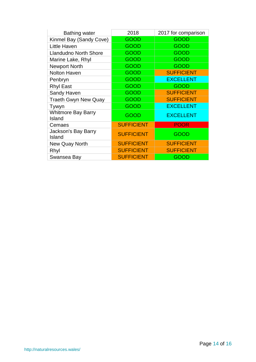| <b>Bathing water</b>                | 2018              | 2017 for comparison |
|-------------------------------------|-------------------|---------------------|
| Kinmel Bay (Sandy Cove)             | GOOD              | GOOD                |
| Little Haven                        | <b>GOOD</b>       | <b>GOOD</b>         |
| <b>Llandudno North Shore</b>        | GOOD              | <b>GOOD</b>         |
| Marine Lake, Rhyl                   | <b>GOOD</b>       | <b>GOOD</b>         |
| <b>Newport North</b>                | <b>GOOD</b>       | <b>GOOD</b>         |
| <b>Nolton Haven</b>                 | GOOD              | <b>SUFFICIENT</b>   |
| Penbryn                             | GOOD              | <b>EXCELLENT</b>    |
| <b>Rhyl East</b>                    | GOOD              | <b>GOOD</b>         |
| Sandy Haven                         | <b>GOOD</b>       | <b>SUFFICIENT</b>   |
| <b>Traeth Gwyn New Quay</b>         | <b>GOOD</b>       | <b>SUFFICIENT</b>   |
| Tywyn                               | <b>GOOD</b>       | <b>EXCELLENT</b>    |
| <b>Whitmore Bay Barry</b><br>Island | GOOD              | <b>EXCELLENT</b>    |
| Cemaes                              | <b>SUFFICIENT</b> | <b>POOR</b>         |
| Jackson's Bay Barry<br>Island       | <b>SUFFICIENT</b> | GOOD                |
| New Quay North                      | <b>SUFFICIENT</b> | <b>SUFFICIENT</b>   |
| Rhyl                                | <b>SUFFICIENT</b> | <b>SUFFICIENT</b>   |
| Swansea Bay                         | <b>SUFFICIENT</b> | GOOD                |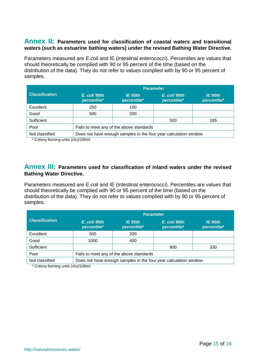## <span id="page-14-0"></span>**Annex II: Parameters used for classification of coastal waters and transitional waters (such as estuarine bathing waters) under the revised Bathing Water Directive.**

Parameters measured are *E.coli* and IE (intestinal enterococci). Percentiles are values that should theoretically be complied with 90 or 95 percent of the time (based on the distribution of the data). They do not refer to values complied with by 90 or 95 percent of samples.

|                       | <b>Parameter</b>                                                 |                        |                             |                        |
|-----------------------|------------------------------------------------------------------|------------------------|-----------------------------|------------------------|
| <b>Classification</b> | E. coli 95th<br>percentile*                                      | IE 95th<br>percentile* | E. coli 90th<br>percentile* | IE 90th<br>percentile* |
| Excellent             | 250                                                              | 100                    |                             |                        |
| Good                  | 500                                                              | 200                    |                             |                        |
| Sufficient            |                                                                  |                        | 500                         | 185                    |
| Poor                  | Fails to meet any of the above standards                         |                        |                             |                        |
| Not classified        | Does not have enough samples in the four year calculation window |                        |                             |                        |

\* Colony forming units (cfu)/100ml

### <span id="page-14-1"></span>**Annex III: Parameters used for classification of inland waters under the revised Bathing Water Directive.**

Parameters measured are *E.coli* and IE (intestinal enterococci). Percentiles are values that should theoretically be complied with 90 or 95 percent of the time (based on the distribution of the data). They do not refer to values complied with by 90 or 95 percent of samples.

|                       | <b>Parameter</b>                                                 |                        |                             |                        |
|-----------------------|------------------------------------------------------------------|------------------------|-----------------------------|------------------------|
| <b>Classification</b> | E. coli 95th<br>percentile*                                      | IE 95th<br>percentile* | E. coli 90th<br>percentile* | IE 90th<br>percentile* |
| Excellent             | 500                                                              | 200                    |                             |                        |
| Good                  | 1000                                                             | 400                    |                             |                        |
| Sufficient            |                                                                  |                        | 900                         | 330                    |
| Poor                  | Fails to meet any of the above standards                         |                        |                             |                        |
| Not classified        | Does not have enough samples in the four year calculation window |                        |                             |                        |

\* Colony forming units (cfu)/100ml